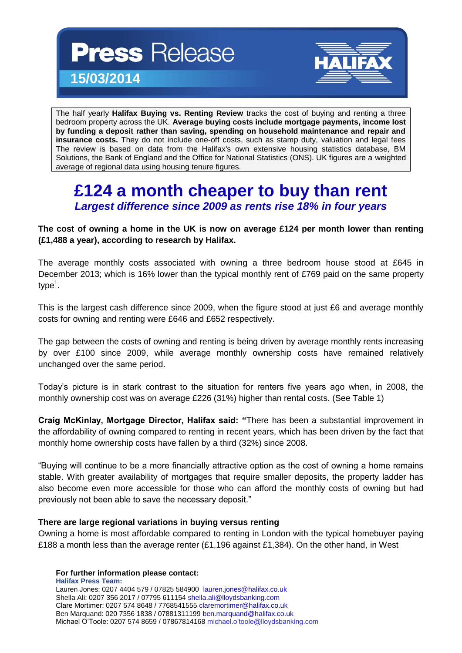**Press Release 15/03/2014**



The half yearly **Halifax Buying vs. Renting Review** tracks the cost of buying and renting a three bedroom property across the UK. **Average buying costs include mortgage payments, income lost by funding a deposit rather than saving, spending on household maintenance and repair and insurance costs.** They do not include one-off costs, such as stamp duty, valuation and legal fees The review is based on data from the Halifax's own extensive housing statistics database, BM Solutions, the Bank of England and the Office for National Statistics (ONS). UK figures are a weighted average of regional data using housing tenure figures.

## **£124 a month cheaper to buy than rent** *Largest difference since 2009 as rents rise 18% in four years*

**The cost of owning a home in the UK is now on average £124 per month lower than renting (£1,488 a year), according to research by Halifax.** 

The average monthly costs associated with owning a three bedroom house stood at £645 in December 2013; which is 16% lower than the typical monthly rent of £769 paid on the same property type<sup>1</sup>.

This is the largest cash difference since 2009, when the figure stood at just £6 and average monthly costs for owning and renting were £646 and £652 respectively.

The gap between the costs of owning and renting is being driven by average monthly rents increasing by over £100 since 2009, while average monthly ownership costs have remained relatively unchanged over the same period.

Today's picture is in stark contrast to the situation for renters five years ago when, in 2008, the monthly ownership cost was on average £226 (31%) higher than rental costs. (See Table 1)

**Craig McKinlay, Mortgage Director, Halifax said: "**There has been a substantial improvement in the affordability of owning compared to renting in recent years, which has been driven by the fact that monthly home ownership costs have fallen by a third (32%) since 2008.

"Buying will continue to be a more financially attractive option as the cost of owning a home remains stable. With greater availability of mortgages that require smaller deposits, the property ladder has also become even more accessible for those who can afford the monthly costs of owning but had previously not been able to save the necessary deposit."

#### **There are large regional variations in buying versus renting**

Owning a home is most affordable compared to renting in London with the typical homebuyer paying £188 a month less than the average renter  $(E1,196)$  against £1,384). On the other hand, in West

**For further information please contact:**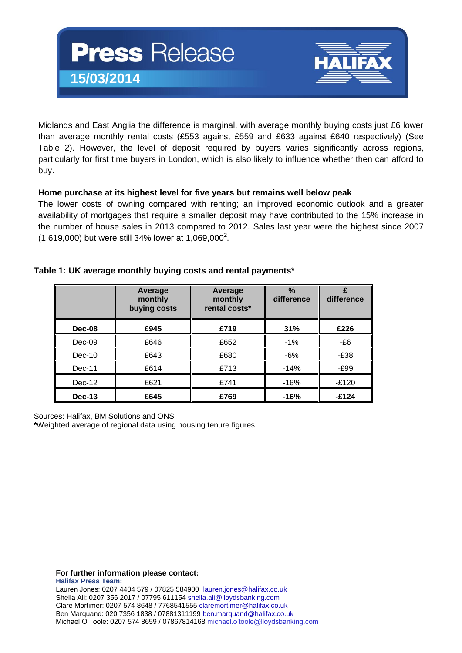

Midlands and East Anglia the difference is marginal, with average monthly buying costs just £6 lower than average monthly rental costs (£553 against £559 and £633 against £640 respectively) (See Table 2). However, the level of deposit required by buyers varies significantly across regions, particularly for first time buyers in London, which is also likely to influence whether then can afford to buy.

#### **Home purchase at its highest level for five years but remains well below peak**

The lower costs of owning compared with renting; an improved economic outlook and a greater availability of mortgages that require a smaller deposit may have contributed to the 15% increase in the number of house sales in 2013 compared to 2012. Sales last year were the highest since 2007  $(1,619,000)$  but were still 34% lower at 1,069,000<sup>2</sup>.

|          | Average<br>monthly<br>buying costs | Average<br>monthly<br>rental costs* | $\%$<br>difference | difference |
|----------|------------------------------------|-------------------------------------|--------------------|------------|
| Dec-08   | £945                               | £719                                | 31%                | £226       |
| $Dec-09$ | £646                               | £652                                | $-1\%$             | -£6        |
| $Dec-10$ | £643                               | £680                                | $-6%$              | $-E38$     |
| $Dec-11$ | £614                               | £713                                | $-14%$             | -£99       |
| $Dec-12$ | £621                               | £741                                | -16%               | -£120      |
| $Dec-13$ | £645                               | £769                                | $-16%$             | $-£124$    |

#### **Table 1: UK average monthly buying costs and rental payments\***

Sources: Halifax, BM Solutions and ONS

**\***Weighted average of regional data using housing tenure figures.

**For further information please contact:**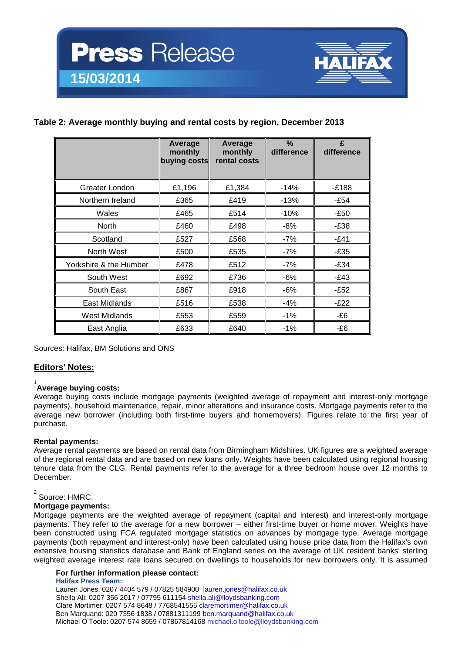

#### **Table 2: Average monthly buying and rental costs by region, December 2013**

|                        | Average<br>monthly<br>buying costs | Average<br>monthly<br>rental costs | $\frac{9}{6}$<br>difference | £<br>difference |
|------------------------|------------------------------------|------------------------------------|-----------------------------|-----------------|
| Greater London         | £1,196                             | £1,384                             | $-14%$                      | $-E188$         |
| Northern Ireland       | £365                               | £419                               | $-13%$                      | $-E54$          |
| Wales                  | £465                               | £514                               | $-10%$                      | $-E50$          |
| <b>North</b>           | £460                               | £498                               | $-8%$                       | $-E38$          |
| Scotland               | £527                               | £568                               | $-7%$                       | $-E41$          |
| North West             | £500                               | £535                               | -7%                         | $-E35$          |
| Yorkshire & the Humber | £478                               | £512                               | $-7%$                       | $-E34$          |
| South West             | £692                               | £736                               | -6%                         | $-E43$          |
| South East             | £867                               | £918                               | $-6%$                       | $-E52$          |
| East Midlands          | £516                               | £538                               | $-4%$                       | $-E22$          |
| <b>West Midlands</b>   | £553                               | £559                               | $-1%$                       | -£6             |
| East Anglia            | £633                               | £640                               | $-1\%$                      | -£6             |

Sources: Halifax, BM Solutions and ONS

#### **Editors' Notes:**

### 1 **Average buying costs:**

Average buying costs include mortgage payments (weighted average of repayment and interest-only mortgage payments), household maintenance, repair, minor alterations and insurance costs. Mortgage payments refer to the average new borrower (including both first-time buyers and homemovers). Figures relate to the first year of purchase.

#### **Rental payments:**

Average rental payments are based on rental data from Birmingham Midshires. UK figures are a weighted average of the regional rental data and are based on new loans only. Weights have been calculated using regional housing tenure data from the CLG. Rental payments refer to the average for a three bedroom house over 12 months to December.

#### 2 Source: HMRC.

#### **Mortgage payments:**

Mortgage payments are the weighted average of repayment (capital and interest) and interest-only mortgage payments. They refer to the average for a new borrower – either first-time buyer or home mover. Weights have been constructed using FCA regulated mortgage statistics on advances by mortgage type. Average mortgage payments (both repayment and interest-only) have been calculated using house price data from the Halifax's own extensive housing statistics database and Bank of England series on the average of UK resident banks' sterling weighted average interest rate loans secured on dwellings to households for new borrowers only. It is assumed

#### **For further information please contact:**